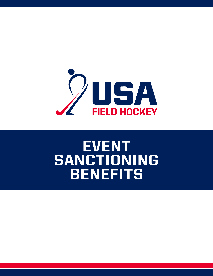

# EVENT SANCTIONING BENEFITS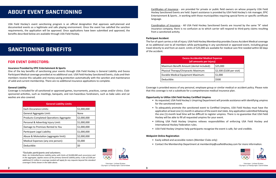USA Field Hockey's event sanctioning program is an official designation that approves well-planned and documented events as a legitimate and safe playing environment. Once the event has satisfied the sanction requirements, the application will be approved. Once applications have been submitted and approved, the benefits described below are available through USA Field Hockey.

## ABOUT EVENT SANCTIONING

### **Insurance Provided by EPIC Entertainment & Sports**

One of the key benefits of sanctioning your events through USA Field Hockey is General Liability and Excess Participant Medical coverage provided at no additional cost. USA Field Hockey Sanctioned Events, clubs and their members receive this valuable and money-saving protection automatically with the sanction and maintenance of valid and current membership. There are no additional insurance applications to complete.

#### **General Liability**

Coverage is included for all sanctioned or approved games, tournaments, practices, camps and/or clinics. Clubsponsored activities, such as meetings, banquets, and non-hazardous fundraisers, such as bake sales and car washes are also covered.

## SANCTIONING BENEFITS

## FOR EVENT DIRECTORS:

| <b>General Liability Limits</b>          |             |
|------------------------------------------|-------------|
| <b>Fach Occurance Limits:</b>            | \$1,000,000 |
| General Aggregate Limit:                 | <b>None</b> |
| Products-Completed Operations Aggregate: | \$2,000,000 |
| Personal & Advertisig Injury Limit:      | \$1,000,000 |
| Damage to Premises Rented to You         | \$1,000,000 |
| Participant Legal Liability              | \$1,000,000 |
| Abuse & Molestation (aggregate limit):   | \$2,000,000 |
| Medical Expenses (any one person):       | \$5,000     |
| Deductible:                              | \$0         |

*\*Excludes participants and volunteers.*

*Note: An Umbrella/Excess Liability policy with limits of \$4,000,000 each occurrence and in the aggregate, applies excess of the primary General Liability policy. A fee of \$100 per additional \$1 million in coverage needed will apply for any requests beyond the standard coverage's limits shown in the table above.*

Member, United States Olympic & Paralympic Committee Certificates of Insurance - are provided for private or public field owners on whose property USA Field Hockey Sanctioned Events are held. Expert assistance is provided by USA Field Hockey's risk manager, EPIC Entertainment & Sports , in working with those municipalities requiring special forms or specific certificate language.

Coordination of Insurance - All USA Field Hockey Sanctioned Events are insured by the same "A" rated insurance company, there is no confusion as to which carrier will respond to third-party claims resulting from a sanctioned activity.

#### **Participant Accident**

The fun of sport carries a risk of injury. USA Field Hockey Membership provides Excess Accident Medical coverage at no additional cost to all members while participating in any sanctioned or approved event, including group travel directly to and from an event. Limits of \$25,000 are available for medical care first needed within 60 days of the accident.

| <b>Excess Accidential Medical Expense</b><br>(all amounts per injury) |                           |  |
|-----------------------------------------------------------------------|---------------------------|--|
| Maximum Benefit Amount (dental included):                             | \$25,000                  |  |
| Physical Therapy/Chirpractic Maximum:                                 | \$2,500 (\$100 per visit) |  |
| Durable Medical Equipment Maximum:                                    | \$1,000                   |  |
| Deductible:                                                           | \$500                     |  |

Coverage is provided excess of any personal, employee group or similar medical or accident policy. Please note that this coverage is not a substitute for a comprehensive medical insurance plan.

## **Opportunity to Utilize USA Field Hockey Certified Umpires**

• As requested, USA Field Hockey's Umpiring Department will provide assistance with identifying umpires

• To adequately promote the sanctioned event to Certified Umpires, USA Field Hockey must have the application at least one (1)-month in advance of the event start date. Any application submitted following the one (1)-month lead time will be difficult to register umpires. There is no guarantee that USA Field

- for the sanctioned event.
- Hockey will be able to fill all requested umpires for your event.
- International Hockey Federation rules.
- USA Field Hockey Umpires help participants recognize the event is safe, fair and credible.

• Utilizing USA Field Hockey Umpires relieves responsibilities of enforcing USA Field Hockey and

#### **Webpoint Online Registration**

- Easily edited and accessible rosters (Member Clubs only)
- 

• Contact the Membership Department at [membership@usafieldhockey.com](http://membership@usafieldhockey.com) for more information.



Member, United States Olympic & Paralympic Committee